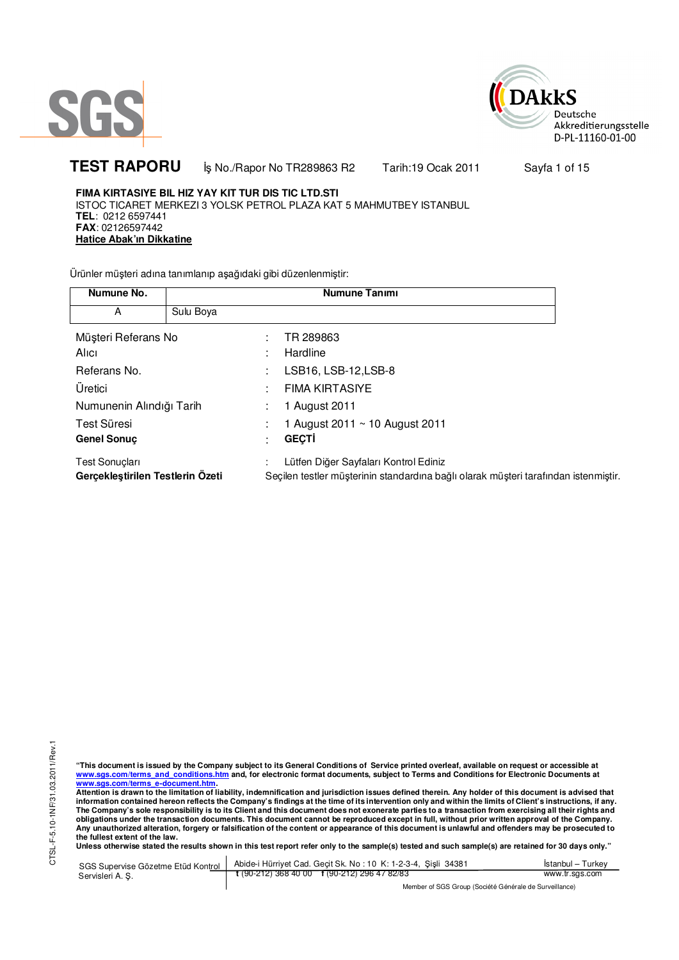



**TEST RAPORU i**ş No./Rapor No TR289863 R2 Tarih:19 Ocak 2011 Sayfa 1 of 15

**FIMA KIRTASIYE BIL HIZ YAY KIT TUR DIS TIC LTD.STI** ISTOC TICARET MERKEZI 3 YOLSK PETROL PLAZA KAT 5 MAHMUTBEY ISTANBUL **TEL**: 0212 6597441 **FAX**: 02126597442 **Hatice Abak'ın Dikkatine**

Ürünler müşteri adına tanımlanıp aşağıdaki gibi düzenlenmiştir:

| Numune No.                                         |           |   | <b>Numune Tanımı</b>                                                                                                         |
|----------------------------------------------------|-----------|---|------------------------------------------------------------------------------------------------------------------------------|
| A                                                  | Sulu Boya |   |                                                                                                                              |
| Müşteri Referans No<br>Alici                       |           | ٠ | TR 289863<br>Hardline                                                                                                        |
| Referans No.                                       |           |   | LSB16, LSB-12, LSB-8                                                                                                         |
| Üretici                                            |           |   | <b>FIMA KIRTASIYE</b>                                                                                                        |
| Numunenin Alındığı Tarih                           |           |   | 1 August 2011                                                                                                                |
| Test Süresi                                        |           |   | 1 August 2011 $\sim$ 10 August 2011                                                                                          |
| <b>Genel Sonuc</b>                                 |           |   | <b>GECTI</b>                                                                                                                 |
| Test Sonuçları<br>Gerçekleştirilen Testlerin Özeti |           |   | Lütfen Diğer Sayfaları Kontrol Ediniz<br>Seçilen testler müşterinin standardına bağlı olarak müşteri tarafından istenmiştir. |

CTSL-F-5.10-1NF/31.03.2011/Rev.1 CTSL-F-5.10-1NF/31.03.2011/Rev.1

"This document is issued by the Company subject to its General Conditions of Service printed overleaf, available on request or accessible at<br>www.sgs.com/terms\_and\_conditions.htm\_and, for electronic format documents, subjec <mark>www.sgs.com/terms\_e-document.htm.</mark><br>Attention is drawn to the limitation of liability, indemnification and jurisdiction issues defined therein. Any holder of this document is advised that

information contained hereon reflects the Company's findings at the time of its intervention only and within the limits of Client's instructions, if any.<br>The Company's sole responsibility is to its Client and this document **obligations under the transaction documents. This document cannot be reproduced except in full, without prior written approval of the Company. Any unauthorized alteration, forgery or falsification of the content or appearance of this document is unlawful and offenders may be prosecuted to the fullest extent of the law.** 

**Unless otherwise stated the results shown in this test report refer only to the sample(s) tested and such sample(s) are retained for 30 days only."** 

SGS Supervise Gözetme Etüd Kontrol Servisleri A. Ş. Abide-i Hürriyet Cad. Geçit Sk. No : 10 K: 1-2-3-4, Şişli 34381 **t** (90-212) 368 40 00 **f** (90-212) 296 47 82/83 İstanbul – Turkey www.tr.sgs.com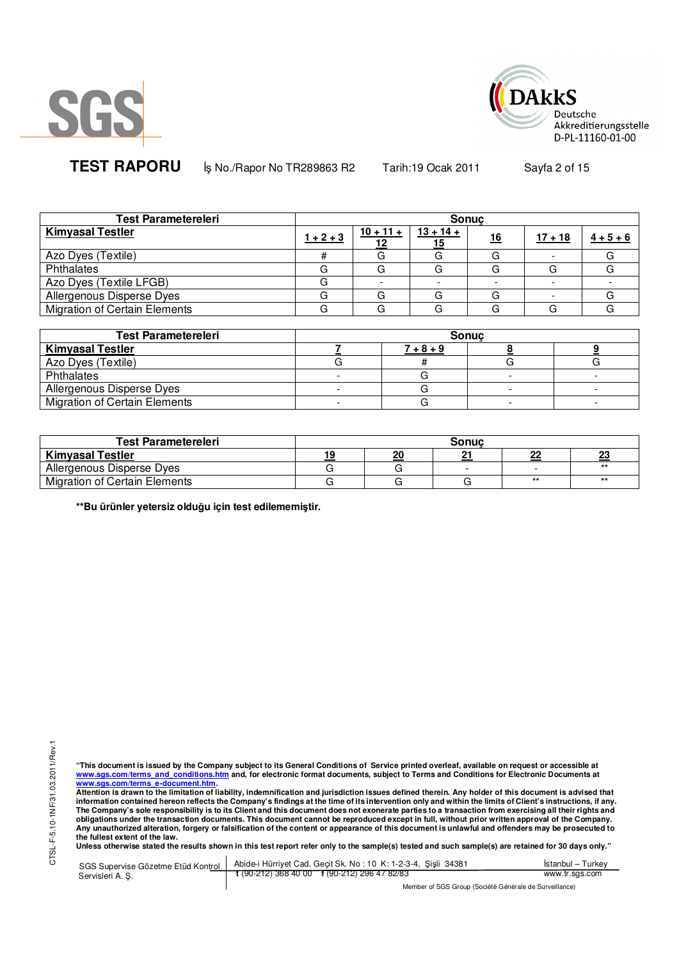



**TEST RAPORU i**ş No./Rapor No TR289863 R2 Tarih:19 Ocak 2011 Sayfa 2 of 15

| <b>Test Parametereleri</b>           | <b>Sonuc</b> |             |                   |    |           |             |  |  |
|--------------------------------------|--------------|-------------|-------------------|----|-----------|-------------|--|--|
| <b>Kimyasal Testler</b>              | $1 + 2 + 3$  | $10 + 11 +$ | $13 + 14 +$<br>15 | 16 | $17 + 18$ | $4 + 5 + 6$ |  |  |
| Azo Dyes (Textile)                   |              |             |                   |    |           |             |  |  |
| Phthalates                           |              | G           | G                 |    |           |             |  |  |
| Azo Dyes (Textile LFGB)              |              |             |                   |    |           |             |  |  |
| Allergenous Disperse Dyes            |              | G           | G                 |    |           |             |  |  |
| <b>Migration of Certain Elements</b> |              | G           |                   |    |           |             |  |  |

| <b>Test Parametereleri</b>           | <b>Sonuc</b> |             |  |  |  |  |  |
|--------------------------------------|--------------|-------------|--|--|--|--|--|
| <b>Kimyasal Testler</b>              |              | $7 + 8 + 9$ |  |  |  |  |  |
| Azo Dyes (Textile)                   |              |             |  |  |  |  |  |
| Phthalates                           |              |             |  |  |  |  |  |
| Allergenous Disperse Dyes            |              |             |  |  |  |  |  |
| <b>Migration of Certain Elements</b> |              |             |  |  |  |  |  |

| Test Parametereleri                  |    |    | Sonuc |      |       |
|--------------------------------------|----|----|-------|------|-------|
| <b>Kimyasal Testler</b>              | 19 | 20 |       | --   | 23    |
| Allergenous Disperse Dyes            |    |    |       |      | $***$ |
| <b>Migration of Certain Elements</b> |    |    |       | $**$ | $***$ |

**\*\*Bu ürünler yetersiz olduğu için test edilememiştir.**

"This document is issued by the Company subject to its General Conditions of Service printed overleaf, available on request or accessible at<br>www.sgs.com/terms\_and\_conditions.htm\_and, for electronic format documents, subjec <mark>www.sgs.com/terms\_e-document.htm.</mark><br>Attention is drawn to the limitation of liability, indemnification and jurisdiction issues defined therein. Any holder of this document is advised that

information contained hereon reflects the Company's findings at the time of its intervention only and within the limits of Client's instructions, if any.<br>The Company's sole responsibility is to its Client and this document **obligations under the transaction documents. This document cannot be reproduced except in full, without prior written approval of the Company. Any unauthorized alteration, forgery or falsification of the content or appearance of this document is unlawful and offenders may be prosecuted to the fullest extent of the law.** 

**Unless otherwise stated the results shown in this test report refer only to the sample(s) tested and such sample(s) are retained for 30 days only."** 

SGS Supervise Gözetme Etüd Kontrol Servisleri A. Ş. Abide-i Hürriyet Cad. Geçit Sk. No : 10 K: 1-2-3-4, Şişli 34381 **t** (90-212) 368 40 00 **f** (90-212) 296 47 82/83 İstanbul – Turkey www.tr.sgs.com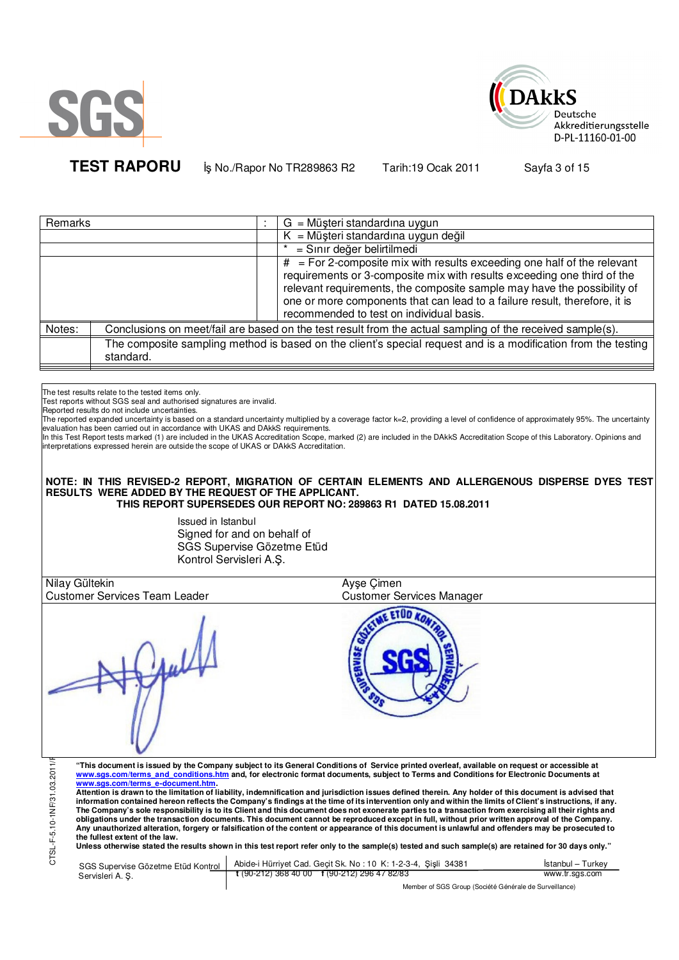



**TEST RAPORU b**<sub>s</sub> No./Rapor No TR289863 R2 Tarih:19 Ocak 2011 Sayfa 3 of 15

| Remarks |           | $G = M\ddot{\omega}$ șteri standardına uygun                                                                                                                                                                                                                                                                                                              |
|---------|-----------|-----------------------------------------------------------------------------------------------------------------------------------------------------------------------------------------------------------------------------------------------------------------------------------------------------------------------------------------------------------|
|         |           | $K =$ Müşteri standardına uygun değil                                                                                                                                                                                                                                                                                                                     |
|         |           | = Sınır değer belirtilmedi                                                                                                                                                                                                                                                                                                                                |
|         |           | $#$ = For 2-composite mix with results exceeding one half of the relevant<br>requirements or 3-composite mix with results exceeding one third of the<br>relevant requirements, the composite sample may have the possibility of<br>one or more components that can lead to a failure result, therefore, it is<br>recommended to test on individual basis. |
| Notes:  |           | Conclusions on meet/fail are based on the test result from the actual sampling of the received sample(s).                                                                                                                                                                                                                                                 |
|         | standard. | The composite sampling method is based on the client's special request and is a modification from the testing                                                                                                                                                                                                                                             |

The test results relate to the tested items only.

Test reports without SGS seal and authorised signatures are invalid.

Reported results do not include uncertainties.

The reported expanded uncertainty is based on a standard uncertainty multiplied by a coverage factor k=2, providing a level of confidence of approximately 95%. The uncertainty evaluation has been carried out in accordance with UKAS and DAkkS requirements.<br>In this Test Report tests marked (1) are included in the UKAS Accreditation Scope, marked (2) are included in the DAkkS Accreditation Scope of

interpretations expressed herein are outside the scope of UKAS or DAkkS Accreditation.

## **NOTE: IN THIS REVISED-2 REPORT, MIGRATION OF CERTAIN ELEMENTS AND ALLERGENOUS DISPERSE DYES TEST RESULTS WERE ADDED BY THE REQUEST OF THE APPLICANT. THIS REPORT SUPERSEDES OUR REPORT NO: 289863 R1 DATED 15.08.2011**

Issued in Istanbul Signed for and on behalf of SGS Supervise Gözetme Etüd Kontrol Servisleri A.Ş.

| Nilay Gültekin                                                                                                                                                                                                                                                                                                                                                                                                                                                                                                                                                                                                                                                                                                                                                                                                                                                                                                                                                                                                                                                                                                                                                                                                                                                                                                                               | Ayse Çimen                                                  |                   |
|----------------------------------------------------------------------------------------------------------------------------------------------------------------------------------------------------------------------------------------------------------------------------------------------------------------------------------------------------------------------------------------------------------------------------------------------------------------------------------------------------------------------------------------------------------------------------------------------------------------------------------------------------------------------------------------------------------------------------------------------------------------------------------------------------------------------------------------------------------------------------------------------------------------------------------------------------------------------------------------------------------------------------------------------------------------------------------------------------------------------------------------------------------------------------------------------------------------------------------------------------------------------------------------------------------------------------------------------|-------------------------------------------------------------|-------------------|
| <b>Customer Services Team Leader</b>                                                                                                                                                                                                                                                                                                                                                                                                                                                                                                                                                                                                                                                                                                                                                                                                                                                                                                                                                                                                                                                                                                                                                                                                                                                                                                         | <b>Customer Services Manager</b>                            |                   |
|                                                                                                                                                                                                                                                                                                                                                                                                                                                                                                                                                                                                                                                                                                                                                                                                                                                                                                                                                                                                                                                                                                                                                                                                                                                                                                                                              |                                                             |                   |
| CTSL-F-5.10-1NF/31.03.2011/<br>"This document is issued by the Company subject to its General Conditions of Service printed overleaf, available on request or accessible at<br>www.sgs.com/terms and conditions.htm and, for electronic format documents, subject to Terms and Conditions for Electronic Documents at<br>www.sgs.com/terms e-document.htm.<br>Attention is drawn to the limitation of liability, indemnification and jurisdiction issues defined therein. Any holder of this document is advised that<br>information contained hereon reflects the Company's findings at the time of its intervention only and within the limits of Client's instructions, if any.<br>The Company's sole responsibility is to its Client and this document does not exonerate parties to a transaction from exercising all their rights and<br>obligations under the transaction documents. This document cannot be reproduced except in full, without prior written approval of the Company.<br>Any unauthorized alteration, forgery or falsification of the content or appearance of this document is unlawful and offenders may be prosecuted to<br>the fullest extent of the law.<br>Unless otherwise stated the results shown in this test report refer only to the sample(s) tested and such sample(s) are retained for 30 days only." |                                                             |                   |
|                                                                                                                                                                                                                                                                                                                                                                                                                                                                                                                                                                                                                                                                                                                                                                                                                                                                                                                                                                                                                                                                                                                                                                                                                                                                                                                                              | Abide i Hürriyat Cad Gecit Sk No. 10 K: 1-2-3-4 Sieli 34381 | İstanbul - Turkov |

SGS Supervise Gözetme Etüd Kontrol Servisleri A. Ş. Abide-i Hürriyet Cad. Geçit Sk. No : 10 K: 1-2-3-4, Şişli 34381 **t** (90-212) 368 40 00 **f** (90-212) 296 47 82/83 İstanbul – Turkey www.tr.sgs.com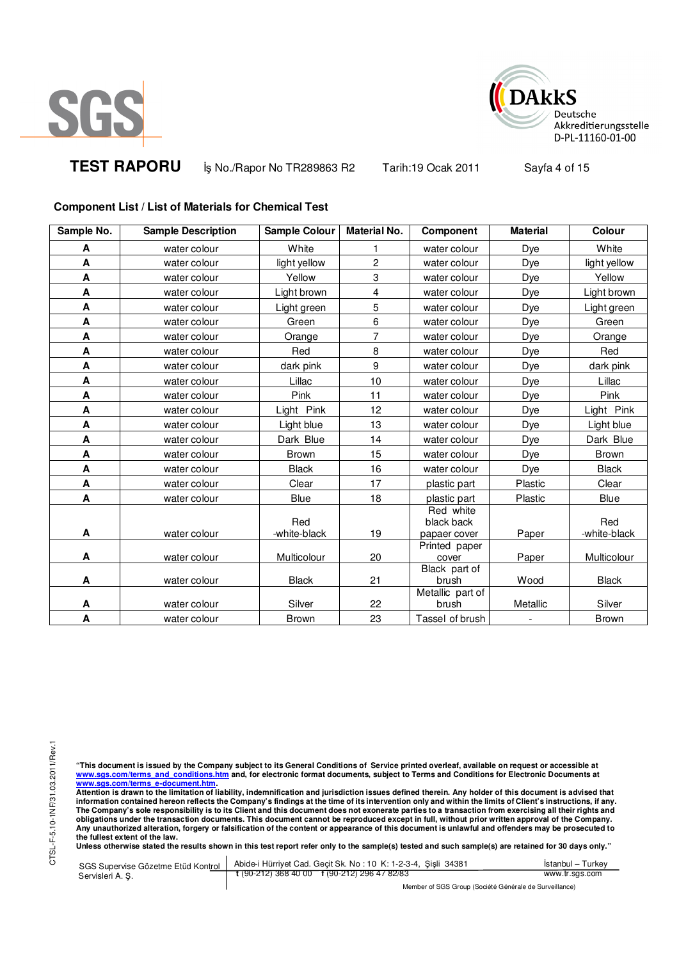



**TEST RAPORU b**<sub>s</sub> No./Rapor No TR289863 R2 Tarih:19 Ocak 2011 Sayfa 4 of 15

## **Component List / List of Materials for Chemical Test**

| Sample No.                | <b>Sample Description</b> | Sample Colour       | <b>Material No.</b> | Component                               | <b>Material</b>          | Colour              |
|---------------------------|---------------------------|---------------------|---------------------|-----------------------------------------|--------------------------|---------------------|
| A                         | water colour              | White               | 1                   | water colour                            | Dye                      | White               |
| $\boldsymbol{\mathsf{A}}$ | water colour              | light yellow        | $\overline{c}$      | water colour                            | Dye                      | light yellow        |
| A                         | water colour              | Yellow              | 3                   | water colour                            | Dye                      | Yellow              |
| A                         | water colour              | Light brown         | $\overline{4}$      | water colour                            | Dye                      | Light brown         |
| A                         | water colour              | Light green         | 5                   | water colour                            | Dye                      | Light green         |
| $\boldsymbol{\mathsf{A}}$ | water colour              | Green               | 6                   | water colour                            | Dye                      | Green               |
| A                         | water colour              | Orange              | $\overline{7}$      | water colour                            | Dye                      | Orange              |
| A                         | water colour              | Red                 | 8                   | water colour                            | Dye                      | Red                 |
| A                         | water colour              | dark pink           | 9                   | water colour                            | Dye                      | dark pink           |
| A                         | water colour              | Lillac              | 10                  | water colour                            | Dye                      | Lillac              |
| A                         | water colour              | Pink                | 11                  | water colour                            | Dye                      | Pink                |
| A                         | water colour              | Light Pink          | 12                  | water colour                            | Dye                      | Light Pink          |
| A                         | water colour              | Light blue          | 13                  | water colour                            | Dye                      | Light blue          |
| A                         | water colour              | Dark Blue           | 14                  | water colour                            | Dye                      | Dark Blue           |
| A                         | water colour              | <b>Brown</b>        | 15                  | water colour                            | Dye                      | <b>Brown</b>        |
| A                         | water colour              | <b>Black</b>        | 16                  | water colour                            | Dye                      | <b>Black</b>        |
| A                         | water colour              | Clear               | 17                  | plastic part                            | Plastic                  | Clear               |
| A                         | water colour              | Blue                | 18                  | plastic part                            | Plastic                  | Blue                |
| A                         | water colour              | Red<br>-white-black | 19                  | Red white<br>black back<br>papaer cover | Paper                    | Red<br>-white-black |
| A                         | water colour              | Multicolour         | 20                  | Printed paper<br>cover                  | Paper                    | Multicolour         |
| A                         | water colour              | <b>Black</b>        | 21                  | Black part of<br>brush                  | Wood                     | <b>Black</b>        |
| A                         | water colour              | Silver              | 22                  | Metallic part of<br>brush               | Metallic                 | Silver              |
| $\boldsymbol{\mathsf{A}}$ | water colour              | <b>Brown</b>        | 23                  | Tassel of brush                         | $\overline{\phantom{a}}$ | <b>Brown</b>        |

"This document is issued by the Company subject to its General Conditions of Service printed overleaf, available on request or accessible at<br>www.sgs.com/terms\_and\_conditions.htm\_and, for electronic format documents, subjec <mark>www.sgs.com/terms\_e-document.htm.</mark><br>Attention is drawn to the limitation of liability, indemnification and jurisdiction issues defined therein. Any holder of this document is advised that

information contained hereon reflects the Company's findings at the time of its intervention only and within the limits of Client's instructions, if any.<br>The Company's sole responsibility is to its Client and this document **obligations under the transaction documents. This document cannot be reproduced except in full, without prior written approval of the Company. Any unauthorized alteration, forgery or falsification of the content or appearance of this document is unlawful and offenders may be prosecuted to the fullest extent of the law.** 

**Unless otherwise stated the results shown in this test report refer only to the sample(s) tested and such sample(s) are retained for 30 days only."** 

SGS Supervise Gözetme Etüd Kontrol Servisleri A. Ş. Abide-i Hürriyet Cad. Geçit Sk. No : 10 K: 1-2-3-4, Şişli 34381 **t** (90-212) 368 40 00 **f** (90-212) 296 47 82/83 İstanbul – Turkey www.tr.sgs.com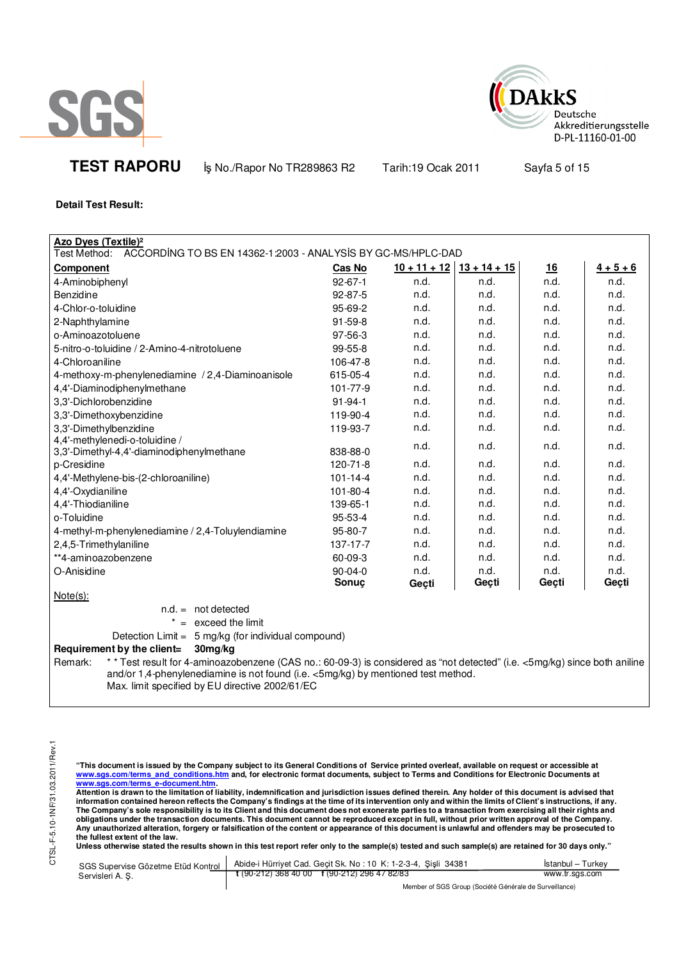



**TEST RAPORU b** No./Rapor No TR289863 R2 Tarih:19 Ocak 2011 Sayfa 5 of 15

**Detail Test Result:**

| Azo Dyes (Textile) <sup>2</sup>                                                                                                                                                                                                                                               |                |                |                |       |             |
|-------------------------------------------------------------------------------------------------------------------------------------------------------------------------------------------------------------------------------------------------------------------------------|----------------|----------------|----------------|-------|-------------|
| ACCORDING TO BS EN 14362-1:2003 - ANALYSIS BY GC-MS/HPLC-DAD<br>Test Method:                                                                                                                                                                                                  |                |                |                |       |             |
| <b>Component</b>                                                                                                                                                                                                                                                              | Cas No         | $10 + 11 + 12$ | $13 + 14 + 15$ | 16    | $4 + 5 + 6$ |
| 4-Aminobiphenyl                                                                                                                                                                                                                                                               | $92 - 67 - 1$  | n.d.           | n.d.           | n.d.  | n.d.        |
| Benzidine                                                                                                                                                                                                                                                                     | 92-87-5        | n.d.           | n.d.           | n.d.  | n.d.        |
| 4-Chlor-o-toluidine                                                                                                                                                                                                                                                           | 95-69-2        | n.d.           | n.d.           | n.d.  | n.d.        |
| 2-Naphthylamine                                                                                                                                                                                                                                                               | $91 - 59 - 8$  | n.d.           | n.d.           | n.d.  | n.d.        |
| o-Aminoazotoluene                                                                                                                                                                                                                                                             | 97-56-3        | n.d.           | n.d.           | n.d.  | n.d.        |
| 5-nitro-o-toluidine / 2-Amino-4-nitrotoluene                                                                                                                                                                                                                                  | $99-55-8$      | n.d.           | n.d.           | n.d.  | n.d.        |
| 4-Chloroaniline                                                                                                                                                                                                                                                               | 106-47-8       | n.d.           | n.d.           | n.d.  | n.d.        |
| 4-methoxy-m-phenylenediamine / 2,4-Diaminoanisole                                                                                                                                                                                                                             | 615-05-4       | n.d.           | n.d.           | n.d.  | n.d.        |
| 4,4'-Diaminodiphenylmethane                                                                                                                                                                                                                                                   | 101-77-9       | n.d.           | n.d.           | n.d.  | n.d.        |
| 3,3'-Dichlorobenzidine                                                                                                                                                                                                                                                        | $91 - 94 - 1$  | n.d.           | n.d.           | n.d.  | n.d.        |
| 3,3'-Dimethoxybenzidine                                                                                                                                                                                                                                                       | 119-90-4       | n.d.           | n.d.           | n.d.  | n.d.        |
| 3,3'-Dimethylbenzidine                                                                                                                                                                                                                                                        | 119-93-7       | n.d.           | n.d.           | n.d.  | n.d.        |
| 4,4'-methylenedi-o-toluidine /<br>3,3'-Dimethyl-4,4'-diaminodiphenylmethane                                                                                                                                                                                                   | 838-88-0       | n.d.           | n.d.           | n.d.  | n.d.        |
| p-Cresidine                                                                                                                                                                                                                                                                   | $120 - 71 - 8$ | n.d.           | n.d.           | n.d.  | n.d.        |
| 4,4'-Methylene-bis-(2-chloroaniline)                                                                                                                                                                                                                                          | $101 - 14 - 4$ | n.d.           | n.d.           | n.d.  | n.d.        |
| 4,4'-Oxydianiline                                                                                                                                                                                                                                                             | 101-80-4       | n.d.           | n.d.           | n.d.  | n.d.        |
| 4,4'-Thiodianiline                                                                                                                                                                                                                                                            | 139-65-1       | n.d.           | n.d.           | n.d.  | n.d.        |
| o-Toluidine                                                                                                                                                                                                                                                                   | 95-53-4        | n.d.           | n.d.           | n.d.  | n.d.        |
| 4-methyl-m-phenylenediamine / 2,4-Toluylendiamine                                                                                                                                                                                                                             | 95-80-7        | n.d.           | n.d.           | n.d.  | n.d.        |
| 2,4,5-Trimethylaniline                                                                                                                                                                                                                                                        | 137-17-7       | n.d.           | n.d.           | n.d.  | n.d.        |
| **4-aminoazobenzene                                                                                                                                                                                                                                                           | 60-09-3        | n.d.           | n.d.           | n.d.  | n.d.        |
| O-Anisidine                                                                                                                                                                                                                                                                   | $90 - 04 - 0$  | n.d.           | n.d.           | n.d.  | n.d.        |
|                                                                                                                                                                                                                                                                               | Sonuç          | Geçti          | Geçti          | Geçti | Geçti       |
| $Note(s)$ :                                                                                                                                                                                                                                                                   |                |                |                |       |             |
| $n.d. = not detected$                                                                                                                                                                                                                                                         |                |                |                |       |             |
| $=$ exceed the limit                                                                                                                                                                                                                                                          |                |                |                |       |             |
| Detection Limit = 5 mg/kg (for individual compound)                                                                                                                                                                                                                           |                |                |                |       |             |
| Requirement by the client=<br>30mg/kg                                                                                                                                                                                                                                         |                |                |                |       |             |
| * * Test result for 4-aminoazobenzene (CAS no.: 60-09-3) is considered as "not detected" (i.e. <5mg/kg) since both aniline<br>Remark:<br>and/or 1,4-phenylenediamine is not found (i.e. <5mg/kg) by mentioned test method.<br>Max. limit specified by EU directive 2002/61/EC |                |                |                |       |             |

"This document is issued by the Company subject to its General Conditions of Service printed overleaf, available on request or accessible at<br>www.sgs.com/terms\_and\_conditions.htm\_and, for electronic format documents, subjec

<u>www.sgs.com/terms\_e-document.htm.</u><br>Attention is drawn to the limitation of liability, indemnification and jurisdiction issues defined therein. Any holder of this document is advised that<br>information contained hereon refle obligations under the transaction documents. This document cannot be reproduced except in full, without prior written approval of the Company.<br>Any unauthorized alteration, forgery or falsification of the content or appeara

**Unless otherwise stated the results shown in this test report refer only to the sample(s) tested and such sample(s) are retained for 30 days only."** 

| Servisleri A.S. | SGS Supervise Gözetme Etüd Kontrol   Abide-i Hürriyet Cad. Geçit Sk. No: 10 K: 1-2-3-4, Şişli 34381                                                                                                                                                                          | <b>Istanbul</b> – Turkey |  |  |  |
|-----------------|------------------------------------------------------------------------------------------------------------------------------------------------------------------------------------------------------------------------------------------------------------------------------|--------------------------|--|--|--|
|                 | $\frac{1}{2}$ (90-212) 368 40 00 f (90-212) 296 47 82/83                                                                                                                                                                                                                     | www.tr.sgs.com           |  |  |  |
|                 | $M_{\odot}$ . Let $M_{\odot}$ and $M_{\odot}$ and $M_{\odot}$ and $M_{\odot}$ and $M_{\odot}$ and $M_{\odot}$ are $M_{\odot}$ . Then is a set of $M_{\odot}$ and $M_{\odot}$ are $M_{\odot}$ and $M_{\odot}$ are $M_{\odot}$ are $M_{\odot}$ and $M_{\odot}$ are $M_{\odot}$ |                          |  |  |  |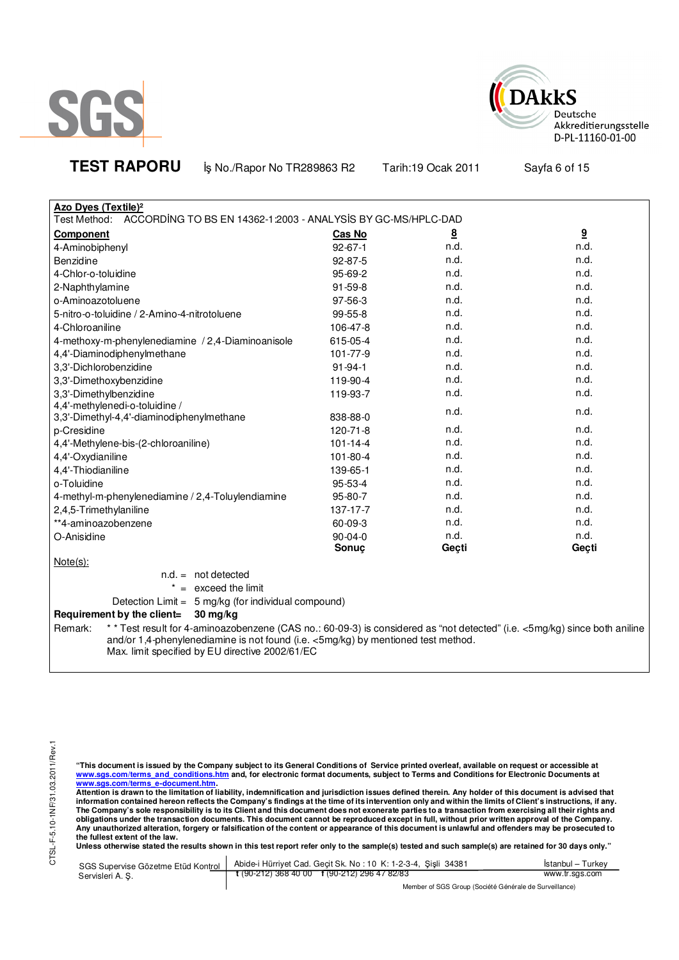



**TEST RAPORU b**<sub>s</sub> No./Rapor No TR289863 R2 Tarih:19 Ocak 2011 Sayfa 6 of 15

| <b>Azo Dyes (Textile)<sup>2</sup></b>                                                                                                |                |                 |                 |
|--------------------------------------------------------------------------------------------------------------------------------------|----------------|-----------------|-----------------|
| Test Method: ACCORDING TO BS EN 14362-1:2003 - ANALYSIS BY GC-MS/HPLC-DAD                                                            |                |                 |                 |
| <b>Component</b>                                                                                                                     | Cas No         | $\underline{8}$ | $\underline{9}$ |
| 4-Aminobiphenyl                                                                                                                      | $92 - 67 - 1$  | n.d.            | n.d.            |
| Benzidine                                                                                                                            | $92 - 87 - 5$  | n.d.            | n.d.            |
| 4-Chlor-o-toluidine                                                                                                                  | 95-69-2        | n.d.            | n.d.            |
| 2-Naphthylamine                                                                                                                      | $91 - 59 - 8$  | n.d.            | n.d.            |
| o-Aminoazotoluene                                                                                                                    | 97-56-3        | n.d.            | n.d.            |
| 5-nitro-o-toluidine / 2-Amino-4-nitrotoluene                                                                                         | 99-55-8        | n.d.            | n.d.            |
| 4-Chloroaniline                                                                                                                      | 106-47-8       | n.d.            | n.d.            |
| 4-methoxy-m-phenylenediamine / 2,4-Diaminoanisole                                                                                    | 615-05-4       | n.d.            | n.d.            |
| 4,4'-Diaminodiphenylmethane                                                                                                          | 101-77-9       | n.d.            | n.d.            |
| 3,3'-Dichlorobenzidine                                                                                                               | $91 - 94 - 1$  | n.d.            | n.d.            |
| 3,3'-Dimethoxybenzidine                                                                                                              | 119-90-4       | n.d.            | n.d.            |
| 3,3'-Dimethylbenzidine                                                                                                               | 119-93-7       | n.d.            | n.d.            |
| 4,4'-methylenedi-o-toluidine /<br>3,3'-Dimethyl-4,4'-diaminodiphenylmethane                                                          | 838-88-0       | n.d.            | n.d.            |
| p-Cresidine                                                                                                                          | 120-71-8       | n.d.            | n.d.            |
| 4,4'-Methylene-bis-(2-chloroaniline)                                                                                                 | $101 - 14 - 4$ | n.d.            | n.d.            |
| 4,4'-Oxydianiline                                                                                                                    | 101-80-4       | n.d.            | n.d.            |
| 4,4'-Thiodianiline                                                                                                                   | 139-65-1       | n.d.            | n.d.            |
| o-Toluidine                                                                                                                          | 95-53-4        | n.d.            | n.d.            |
| 4-methyl-m-phenylenediamine / 2,4-Toluylendiamine                                                                                    | 95-80-7        | n.d.            | n.d.            |
| 2,4,5-Trimethylaniline                                                                                                               | 137-17-7       | n.d.            | n.d.            |
| **4-aminoazobenzene                                                                                                                  | 60-09-3        | n.d.            | n.d.            |
| O-Anisidine                                                                                                                          | 90-04-0        | n.d.            | n.d.            |
|                                                                                                                                      | Sonuç          | Geçti           | Geçti           |
| $Note(s)$ :                                                                                                                          |                |                 |                 |
| $n.d. = not detected$                                                                                                                |                |                 |                 |
| $* =$ exceed the limit                                                                                                               |                |                 |                 |
| Detection Limit = 5 mg/kg (for individual compound)                                                                                  |                |                 |                 |
| $30 \text{ mg/kg}$<br>Requirement by the client=                                                                                     |                |                 |                 |
| ** Test result for 4-aminoazobenzene (CAS no.: 60-09-3) is considered as "not detected" (i.e. <5mg/kg) since both aniline<br>Remark: |                |                 |                 |
| and/or 1,4-phenylenediamine is not found (i.e. <5mg/kg) by mentioned test method.                                                    |                |                 |                 |

Max. limit specified by EU directive 2002/61/EC

"This document is issued by the Company subject to its General Conditions of Service printed overleaf, available on request or accessible at<br>www.sgs.com/terms\_and\_conditions.htm\_and, for electronic format documents, subjec <mark>www.sgs.com/terms\_e-document.htm.</mark><br>Attention is drawn to the limitation of liability, indemnification and jurisdiction issues defined therein. Any holder of this document is advised that

information contained hereon reflects the Company's findings at the time of its intervention only and within the limits of Client's instructions, if any.<br>The Company's sole responsibility is to its Client and this document obligations under the transaction documents. This document cannot be reproduced except in full, without prior written approval of the Company.<br>Any unauthorized alteration, forgery or falsification of the content or appeara

**Unless otherwise stated the results shown in this test report refer only to the sample(s) tested and such sample(s) are retained for 30 days only."** 

| SGS Supervise Gözetme Etüd Kontrol I | Abide-i Hürriyet Cad. Gecit Sk. No: 10 K: 1-2-3-4, Sisli 34381 | Istanbul – Turkey |  |
|--------------------------------------|----------------------------------------------------------------|-------------------|--|
| Servisleri A. S.                     | $t(90-212)3684000$ $t(90-212)2964782/83$                       | www.tr.sgs.com    |  |
|                                      | Member of SGS Group (Société Générale de Surveillance)         |                   |  |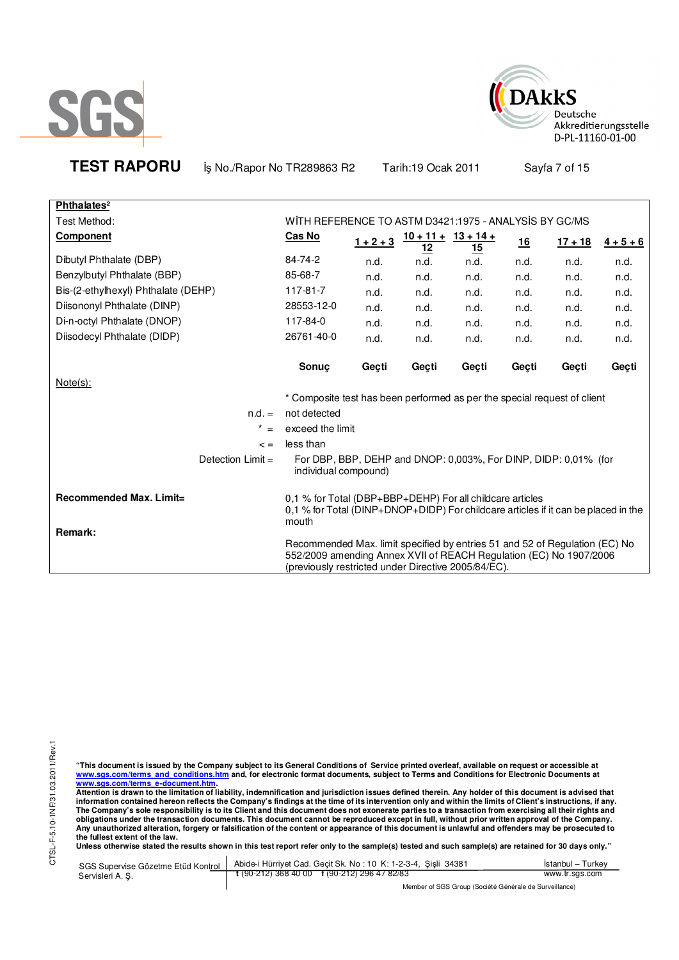



**TEST RAPORU b**<sub>s</sub> No./Rapor No TR289863 R2 Tarih:19 Ocak 2011 Sayfa 7 of 15

| Phthalates <sup>2</sup>             |                                                                                                                                                                                                          |             |                                     |           |       |           |             |
|-------------------------------------|----------------------------------------------------------------------------------------------------------------------------------------------------------------------------------------------------------|-------------|-------------------------------------|-----------|-------|-----------|-------------|
| Test Method:                        | WITH REFERENCE TO ASTM D3421:1975 - ANALYSIS BY GC/MS                                                                                                                                                    |             |                                     |           |       |           |             |
| <b>Component</b>                    | Cas No                                                                                                                                                                                                   | $1 + 2 + 3$ | $10 + 11 + 13 + 14 +$<br><u> 12</u> | <u>15</u> | 16    | $17 + 18$ | $4 + 5 + 6$ |
| Dibutyl Phthalate (DBP)             | 84-74-2                                                                                                                                                                                                  | n.d.        | n.d.                                | n.d.      | n.d.  | n.d.      | n.d.        |
| Benzylbutyl Phthalate (BBP)         | 85-68-7                                                                                                                                                                                                  | n.d.        | n.d.                                | n.d.      | n.d.  | n.d.      | n.d.        |
| Bis-(2-ethylhexyl) Phthalate (DEHP) | 117-81-7                                                                                                                                                                                                 | n.d.        | n.d.                                | n.d.      | n.d.  | n.d.      | n.d.        |
| Diisononyl Phthalate (DINP)         | 28553-12-0                                                                                                                                                                                               | n.d.        | n.d.                                | n.d.      | n.d.  | n.d.      | n.d.        |
| Di-n-octyl Phthalate (DNOP)         | 117-84-0                                                                                                                                                                                                 | n.d.        | n.d.                                | n.d.      | n.d.  | n.d.      | n.d.        |
| Diisodecyl Phthalate (DIDP)         | 26761-40-0                                                                                                                                                                                               | n.d.        | n.d.                                | n.d.      | n.d.  | n.d.      | n.d.        |
|                                     | <b>Sonuc</b>                                                                                                                                                                                             | Geçti       | Gecti                               | Geçti     | Geçti | Geçti     | Geçti       |
| Note(s):                            |                                                                                                                                                                                                          |             |                                     |           |       |           |             |
|                                     | * Composite test has been performed as per the special request of client                                                                                                                                 |             |                                     |           |       |           |             |
| $n.d. =$                            | not detected                                                                                                                                                                                             |             |                                     |           |       |           |             |
| $* =$                               | exceed the limit                                                                                                                                                                                         |             |                                     |           |       |           |             |
| $\leq$ $=$                          | less than                                                                                                                                                                                                |             |                                     |           |       |           |             |
| Detection $Limit =$                 | For DBP, BBP, DEHP and DNOP: 0,003%, For DINP, DIDP: 0,01% (for<br>individual compound)                                                                                                                  |             |                                     |           |       |           |             |
| Recommended Max. Limit=<br>Remark:  | 0.1 % for Total (DBP+BBP+DEHP) For all childcare articles<br>0.1 % for Total (DINP+DNOP+DIDP) For childcare articles if it can be placed in the<br>mouth                                                 |             |                                     |           |       |           |             |
|                                     | Recommended Max. limit specified by entries 51 and 52 of Regulation (EC) No<br>552/2009 amending Annex XVII of REACH Regulation (EC) No 1907/2006<br>(previously restricted under Directive 2005/84/EC). |             |                                     |           |       |           |             |

"This document is issued by the Company subject to its General Conditions of Service printed overleaf, available on request or accessible at<br>www.sgs.com/terms\_and\_conditions.htm\_and, for electronic format documents, subjec

<u>www.sgs.com/terms\_e-document.htm.</u><br>Attention is drawn to the limitation of liability, indemnification and jurisdiction issues defined therein. Any holder of this document is advised that<br>information contained hereon refle obligations under the transaction documents. This document cannot be reproduced except in full, without prior written approval of the Company.<br>Any unauthorized alteration, forgery or falsification of the content or appeara

**Unless otherwise stated the results shown in this test report refer only to the sample(s) tested and such sample(s) are retained for 30 days only."** 

| Servisleri A. S. | SGS Supervise Gözetme Etüd Kontrol   Abide-i Hürriyet Cad. Geçit Sk. No: 10 K: 1-2-3-4, Şişli 34381                                                  | Istanbul - Turkey |  |
|------------------|------------------------------------------------------------------------------------------------------------------------------------------------------|-------------------|--|
|                  | $\frac{1}{2}$ (90-212) 368 40 00 f (90-212) 296 47 82/83                                                                                             | www.tr.sgs.com    |  |
|                  | $\mathbf{M}$ and $\mathbf{M}$ and $\mathbf{M}$ and $\mathbf{M}$ and $\mathbf{M}$ and $\mathbf{M}$ and $\mathbf{M}$ and $\mathbf{M}$ and $\mathbf{M}$ |                   |  |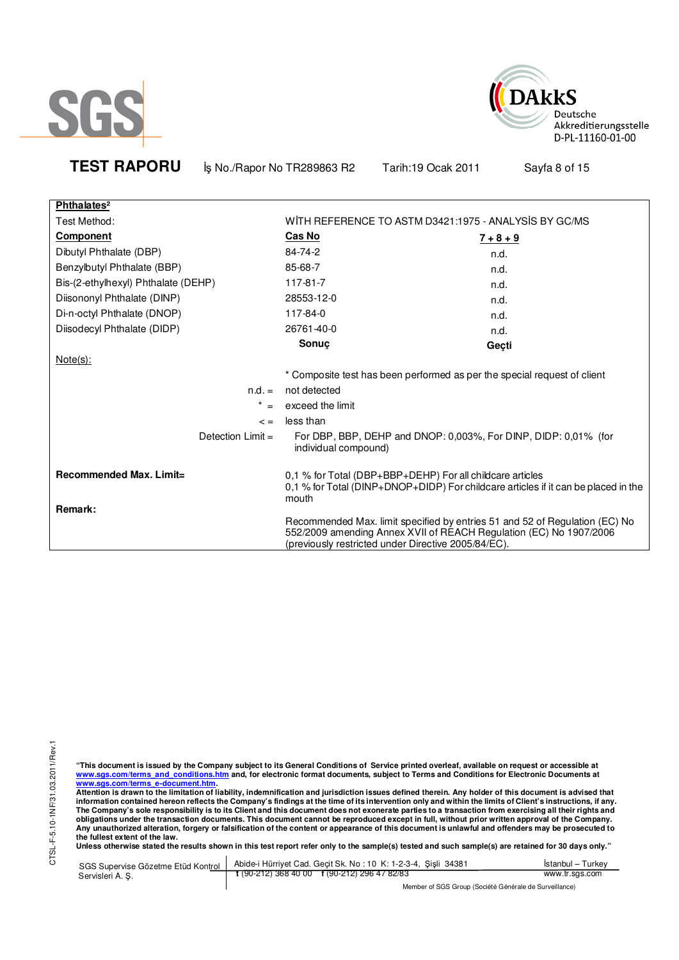



**Phthalates²** Test Method: The State Motor Control of the MOST WITH REFERENCE TO ASTM D3421:1975 - ANALYSIS BY GC/MS **Component Cas No 7 + 8 + 9** Dibutyl Phthalate (DBP) 84-74-2 n.d. Benzylbutyl Phthalate (BBP) 85-68-7 compared to the method of the method of the method of the method of the method of the method of the method of the method of the method of the method of the method of the method of the me Bis-(2-ethylhexyl) Phthalate (DEHP) 117-81-7 h.d. Diisononyl Phthalate (DINP) 28553-12-0 n.d. Di-n-octyl Phthalate (DNOP) 117-84-0 n.d. Diisodecyl Phthalate (DIDP) 26761-40-0 n.d. **Sonuç Geçti**  Note(s): \* Composite test has been performed as per the special request of client n.d. = not detected  $* =$  exceed the limit  $\epsilon =$  less than Detection Limit = For DBP, BBP, DEHP and DNOP: 0,003%, For DINP, DIDP: 0,01% (for individual compound) **Recommended Max. Limit= Remark:**  0,1 % for Total (DBP+BBP+DEHP) For all childcare articles 0,1 % for Total (DINP+DNOP+DIDP) For childcare articles if it can be placed in the mouth Recommended Max. limit specified by entries 51 and 52 of Regulation (EC) No 552/2009 amending Annex XVII of REACH Regulation (EC) No 1907/2006 (previously restricted under Directive 2005/84/EC).

**TEST RAPORU b**<sub>s</sub> No./Rapor No TR289863 R2 Tarih:19 Ocak 2011 Sayfa 8 of 15

**"This document is issued by the Company subject to its General Conditions of Service printed overleaf, available on request or accessible at www.sgs.com/terms\_and\_conditions.htm and, for electronic format documents, subject to Terms and Conditions for Electronic Documents at** 

<mark>www.sgs.com/terms\_e-document.htm.</mark><br>Attention is drawn to the limitation of liability, indemnification and jurisdiction issues defined therein. Any holder of this document is advised that information contained hereon reflects the Company's findings at the time of its intervention only and within the limits of Client's instructions, if any.<br>The Company's sole responsibility is to its Client and this document **obligations under the transaction documents. This document cannot be reproduced except in full, without prior written approval of the Company. Any unauthorized alteration, forgery or falsification of the content or appearance of this document is unlawful and offenders may be prosecuted to the fullest extent of the law.** 

Unless otherwise stated the results shown in this test report refer only to the sample(s) tested and such sample(s) are retained for 30 days only."

| SGS Supervise Gözetme Etüd Kontrol<br>Servisleri A. S. | Abide-i Hürriyet Cad. Gecit Sk. No: 10 K: 1-2-3-4, Sisli 34381 | Istanbul – Turkev |  |  |
|--------------------------------------------------------|----------------------------------------------------------------|-------------------|--|--|
|                                                        | $\frac{1}{2}$ (90-212) 368 40 00 f (90-212) 296 47 82/83       | www.tr.sgs.com    |  |  |
|                                                        | Member of SGS Group (Société Générale de Surveillance)         |                   |  |  |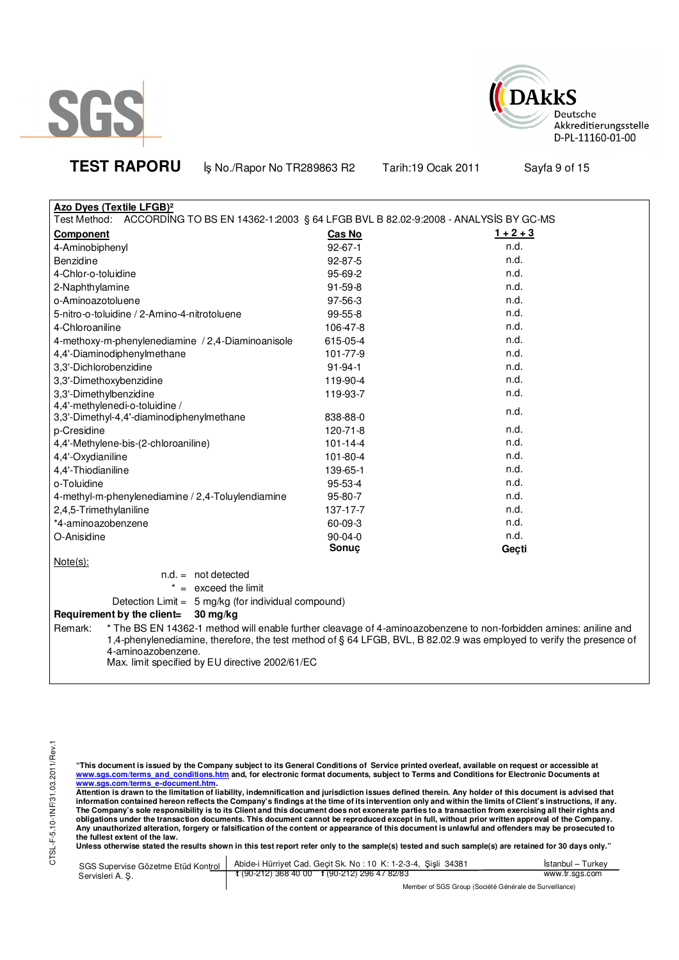



**TEST RAPORU b**<sub>s</sub> No./Rapor No TR289863 R2 Tarih:19 Ocak 2011 Sayfa 9 of 15

| <b>Azo Dyes (Textile LFGB)<sup>2</sup></b>                                                                                                                                                                                                                                                                                    |                |             |  |  |
|-------------------------------------------------------------------------------------------------------------------------------------------------------------------------------------------------------------------------------------------------------------------------------------------------------------------------------|----------------|-------------|--|--|
| Test Method: ACCORDING TO BS EN 14362-1:2003 § 64 LFGB BVL B 82.02-9:2008 - ANALYSIS BY GC-MS                                                                                                                                                                                                                                 |                |             |  |  |
| <b>Component</b>                                                                                                                                                                                                                                                                                                              | Cas No         | $1 + 2 + 3$ |  |  |
| 4-Aminobiphenyl                                                                                                                                                                                                                                                                                                               | $92 - 67 - 1$  | n.d.        |  |  |
| Benzidine                                                                                                                                                                                                                                                                                                                     | 92-87-5        | n.d.        |  |  |
| 4-Chlor-o-toluidine                                                                                                                                                                                                                                                                                                           | 95-69-2        | n.d.        |  |  |
| 2-Naphthylamine                                                                                                                                                                                                                                                                                                               | $91 - 59 - 8$  | n.d.        |  |  |
| o-Aminoazotoluene                                                                                                                                                                                                                                                                                                             | 97-56-3        | n.d.        |  |  |
| 5-nitro-o-toluidine / 2-Amino-4-nitrotoluene                                                                                                                                                                                                                                                                                  | 99-55-8        | n.d.        |  |  |
| 4-Chloroaniline                                                                                                                                                                                                                                                                                                               | 106-47-8       | n.d.        |  |  |
| 4-methoxy-m-phenylenediamine / 2,4-Diaminoanisole                                                                                                                                                                                                                                                                             | 615-05-4       | n.d.        |  |  |
| 4,4'-Diaminodiphenylmethane                                                                                                                                                                                                                                                                                                   | 101-77-9       | n.d.        |  |  |
| 3,3'-Dichlorobenzidine                                                                                                                                                                                                                                                                                                        | $91 - 94 - 1$  | n.d.        |  |  |
| 3,3'-Dimethoxybenzidine                                                                                                                                                                                                                                                                                                       | 119-90-4       | n.d.        |  |  |
| 3,3'-Dimethylbenzidine                                                                                                                                                                                                                                                                                                        | 119-93-7       | n.d.        |  |  |
| 4,4'-methylenedi-o-toluidine /                                                                                                                                                                                                                                                                                                |                | n.d.        |  |  |
| 3,3'-Dimethyl-4,4'-diaminodiphenylmethane                                                                                                                                                                                                                                                                                     | 838-88-0       |             |  |  |
| p-Cresidine                                                                                                                                                                                                                                                                                                                   | 120-71-8       | n.d.        |  |  |
| 4,4'-Methylene-bis-(2-chloroaniline)                                                                                                                                                                                                                                                                                          | $101 - 14 - 4$ | n.d.        |  |  |
| 4,4'-Oxydianiline                                                                                                                                                                                                                                                                                                             | 101-80-4       | n.d.        |  |  |
| 4,4'-Thiodianiline                                                                                                                                                                                                                                                                                                            | 139-65-1       | n.d.        |  |  |
| o-Toluidine                                                                                                                                                                                                                                                                                                                   | 95-53-4        | n.d.        |  |  |
| 4-methyl-m-phenylenediamine / 2,4-Toluylendiamine                                                                                                                                                                                                                                                                             | 95-80-7        | n.d.        |  |  |
| 2,4,5-Trimethylaniline                                                                                                                                                                                                                                                                                                        | 137-17-7       | n.d.        |  |  |
| *4-aminoazobenzene                                                                                                                                                                                                                                                                                                            | $60 - 09 - 3$  | n.d.        |  |  |
| O-Anisidine                                                                                                                                                                                                                                                                                                                   | $90-04-0$      | n.d.        |  |  |
|                                                                                                                                                                                                                                                                                                                               | Sonuç          | Geçti       |  |  |
| $Note(s)$ :                                                                                                                                                                                                                                                                                                                   |                |             |  |  |
| $n.d. = not detected$                                                                                                                                                                                                                                                                                                         |                |             |  |  |
| $* =$ exceed the limit                                                                                                                                                                                                                                                                                                        |                |             |  |  |
| Detection Limit = 5 mg/kg (for individual compound)                                                                                                                                                                                                                                                                           |                |             |  |  |
| Requirement by the client=<br>30 mg/kg                                                                                                                                                                                                                                                                                        |                |             |  |  |
| * The BS EN 14362-1 method will enable further cleavage of 4-aminoazobenzene to non-forbidden amines: aniline and<br>Remark:<br>1,4-phenylenediamine, therefore, the test method of § 64 LFGB, BVL, B 82.02.9 was employed to verify the presence of<br>4-aminoazobenzene.<br>Max. limit specified by EU directive 2002/61/EC |                |             |  |  |

"This document is issued by the Company subject to its General Conditions of Service printed overleaf, available on request or accessible at<br>www.sgs.com/terms\_and\_conditions.htm\_and, for electronic format documents, subjec

<u>www.sgs.com/terms\_e-document.htm.</u><br>Attention is drawn to the limitation of liability, indemnification and jurisdiction issues defined therein. Any holder of this document is advised that<br>information contained hereon refle obligations under the transaction documents. This document cannot be reproduced except in full, without prior written approval of the Company.<br>Any unauthorized alteration, forgery or falsification of the content or appeara

**Unless otherwise stated the results shown in this test report refer only to the sample(s) tested and such sample(s) are retained for 30 days only."** 

| Servisleri A. S. | SGS Supervise Gözetme Etüd Kontrol   Abide-i Hürriyet Cad. Geçit Sk. No: 10 K: 1-2-3-4, Şişli 34381                                                                                                                                                                          | İstanbul – Turkev |
|------------------|------------------------------------------------------------------------------------------------------------------------------------------------------------------------------------------------------------------------------------------------------------------------------|-------------------|
|                  | $\frac{1}{2}$ (90-212) 368 40 00 f (90-212) 296 47 82/83                                                                                                                                                                                                                     | www.tr.sgs.com    |
|                  | $M_{\odot}$ . Let $M_{\odot}$ and $M_{\odot}$ and $M_{\odot}$ and $M_{\odot}$ and $M_{\odot}$ and $M_{\odot}$ are $M_{\odot}$ . Then is a set of $M_{\odot}$ and $M_{\odot}$ are $M_{\odot}$ and $M_{\odot}$ are $M_{\odot}$ are $M_{\odot}$ and $M_{\odot}$ are $M_{\odot}$ |                   |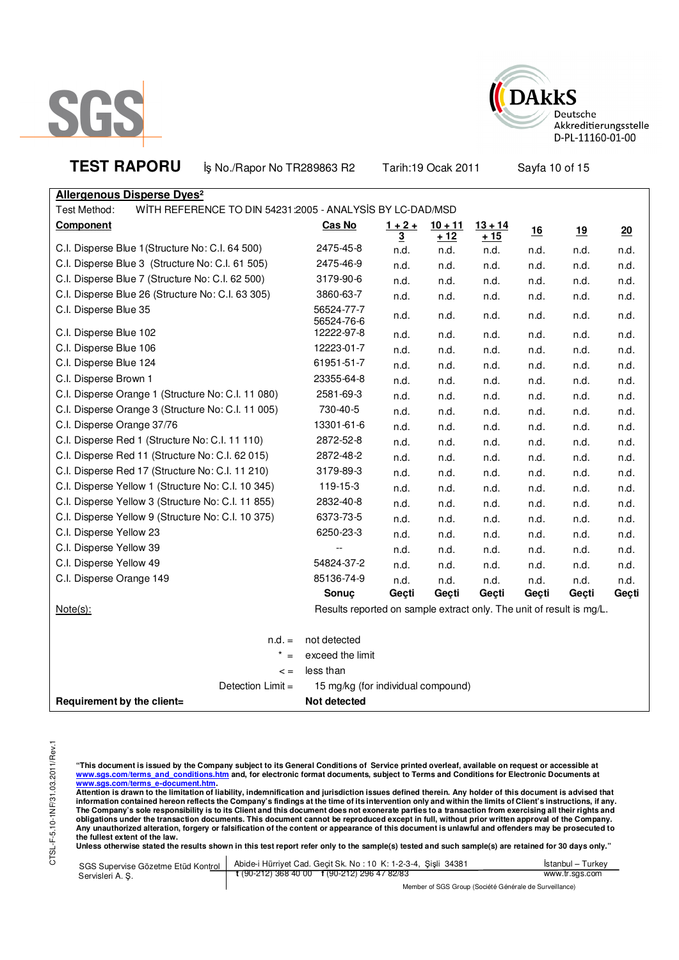



**TEST RAPORU b**<sub>s</sub> No./Rapor No TR289863 R2 Tarih:19 Ocak 2011 Sayfa 10 of 15

**Allergenous Disperse Dyes²** Test Method: WITH REFERENCE TO DIN 54231:2005 - ANALYSIS BY LC-DAD/MSD

| Component                                          | Cas No                                                               | $1 + 2 +$                       | $10 + 11$           | $13 + 14$    | 16    | 19    | 20    |
|----------------------------------------------------|----------------------------------------------------------------------|---------------------------------|---------------------|--------------|-------|-------|-------|
| C.I. Disperse Blue 1 (Structure No: C.I. 64 500)   | 2475-45-8                                                            | $\overline{\mathbf{3}}$<br>n.d. | <u>+ 12</u><br>n.d. | + 15<br>n.d. | n.d.  | n.d.  | n.d.  |
| C.I. Disperse Blue 3 (Structure No: C.I. 61 505)   | 2475-46-9                                                            | n.d.                            | n.d.                | n.d.         | n.d.  | n.d.  | n.d.  |
| C.I. Disperse Blue 7 (Structure No: C.I. 62 500)   | 3179-90-6                                                            | n.d.                            | n.d.                | n.d.         | n.d.  | n.d.  | n.d.  |
| C.I. Disperse Blue 26 (Structure No: C.I. 63 305)  | 3860-63-7                                                            | n.d.                            | n.d.                | n.d.         | n.d.  | n.d.  | n.d.  |
| C.I. Disperse Blue 35                              | 56524-77-7<br>56524-76-6                                             | n.d.                            | n.d.                | n.d.         | n.d.  | n.d.  | n.d.  |
| C.I. Disperse Blue 102                             | 12222-97-8                                                           | n.d.                            | n.d.                | n.d.         | n.d.  | n.d.  | n.d.  |
| C.I. Disperse Blue 106                             | 12223-01-7                                                           | n.d.                            | n.d.                | n.d.         | n.d.  | n.d.  | n.d.  |
| C.I. Disperse Blue 124                             | 61951-51-7                                                           | n.d.                            | n.d.                | n.d.         | n.d.  | n.d.  | n.d.  |
| C.I. Disperse Brown 1                              | 23355-64-8                                                           | n.d.                            | n.d.                | n.d.         | n.d.  | n.d.  | n.d.  |
| C.I. Disperse Orange 1 (Structure No: C.I. 11 080) | 2581-69-3                                                            | n.d.                            | n.d.                | n.d.         | n.d.  | n.d.  | n.d.  |
| C.I. Disperse Orange 3 (Structure No: C.I. 11 005) | 730-40-5                                                             | n.d.                            | n.d.                | n.d.         | n.d.  | n.d.  | n.d.  |
| C.I. Disperse Orange 37/76                         | 13301-61-6                                                           | n.d.                            | n.d.                | n.d.         | n.d.  | n.d.  | n.d.  |
| C.I. Disperse Red 1 (Structure No: C.I. 11 110)    | 2872-52-8                                                            | n.d.                            | n.d.                | n.d.         | n.d.  | n.d.  | n.d.  |
| C.I. Disperse Red 11 (Structure No: C.I. 62 015)   | 2872-48-2                                                            | n.d.                            | n.d.                | n.d.         | n.d.  | n.d.  | n.d.  |
| C.I. Disperse Red 17 (Structure No: C.I. 11 210)   | 3179-89-3                                                            | n.d.                            | n.d.                | n.d.         | n.d.  | n.d.  | n.d.  |
| C.I. Disperse Yellow 1 (Structure No: C.I. 10 345) | 119-15-3                                                             | n.d.                            | n.d.                | n.d.         | n.d.  | n.d.  | n.d.  |
| C.I. Disperse Yellow 3 (Structure No: C.I. 11 855) | 2832-40-8                                                            | n.d.                            | n.d.                | n.d.         | n.d.  | n.d.  | n.d.  |
| C.I. Disperse Yellow 9 (Structure No: C.I. 10 375) | 6373-73-5                                                            | n.d.                            | n.d.                | n.d.         | n.d.  | n.d.  | n.d.  |
| C.I. Disperse Yellow 23                            | 6250-23-3                                                            | n.d.                            | n.d.                | n.d.         | n.d.  | n.d.  | n.d.  |
| C.I. Disperse Yellow 39                            |                                                                      | n.d.                            | n.d.                | n.d.         | n.d.  | n.d.  | n.d.  |
| C.I. Disperse Yellow 49                            | 54824-37-2                                                           | n.d.                            | n.d.                | n.d.         | n.d.  | n.d.  | n.d.  |
| C.I. Disperse Orange 149                           | 85136-74-9                                                           | n.d.                            | n.d.                | n.d.         | n.d.  | n.d.  | n.d.  |
|                                                    | Sonuç                                                                | Geçti                           | Geçti               | Geçti        | Geçti | Geçti | Geçti |
| $Note(s)$ :                                        | Results reported on sample extract only. The unit of result is mg/L. |                                 |                     |              |       |       |       |
| $n.d. =$                                           | not detected                                                         |                                 |                     |              |       |       |       |
| $x^* =$                                            | exceed the limit                                                     |                                 |                     |              |       |       |       |
| $\leq$ =                                           | less than                                                            |                                 |                     |              |       |       |       |
| Detection Limit =                                  | 15 mg/kg (for individual compound)                                   |                                 |                     |              |       |       |       |
| Requirement by the client=                         | Not detected                                                         |                                 |                     |              |       |       |       |

"This document is issued by the Company subject to its General Conditions of Service printed overleaf, available on request or accessible at<br>www.sgs.com/terms\_and\_conditions.htm\_and, for electronic format documents, subjec <mark>www.sgs.com/terms\_e-document.htm.</mark><br>Attention is drawn to the limitation of liability, indemnification and jurisdiction issues defined therein. Any holder of this document is advised that

information contained hereon reflects the Company's findings at the time of its intervention only and within the limits of Client's instructions, if any.<br>The Company's sole responsibility is to its Client and this document **obligations under the transaction documents. This document cannot be reproduced except in full, without prior written approval of the Company. Any unauthorized alteration, forgery or falsification of the content or appearance of this document is unlawful and offenders may be prosecuted to the fullest extent of the law.** 

Unless otherwise stated the results shown in this test report refer only to the sample(s) tested and such sample(s) are retained for 30 days only."

| SGS Supervise Gözetme Etüd Kontrol<br>Servisleri A. S. | Abide-i Hürriyet Cad. Gecit Sk. No: 10 K: 1-2-3-4, Sisli 34381 | Istanbul – Turkev |  |
|--------------------------------------------------------|----------------------------------------------------------------|-------------------|--|
|                                                        | $\frac{1}{2}$ (90-212) 368 40 00 f (90-212) 296 47 82/83       | www.tr.sgs.com    |  |
|                                                        | Member of SGS Group (Société Générale de Surveillance)         |                   |  |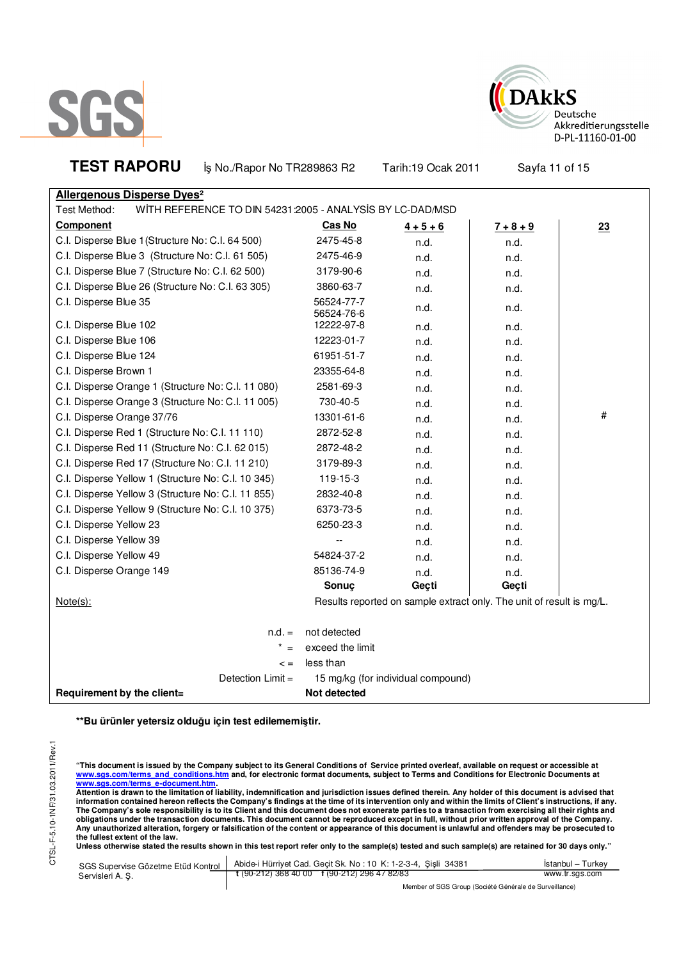



**TEST RAPORU b**<sub>s</sub> No./Rapor No TR289863 R2 Tarih:19 Ocak 2011 Sayfa 11 of 15 **Allergenous Disperse Dyes²** Test Method: WITH REFERENCE TO DIN 54231:2005 - ANALYSIS BY LC-DAD/MSD **Component Cas No 4 + 5 + 6 7 + 8 + 9 23** C.I. Disperse Blue 1 (Structure No: C.I. 64 500) 2475-45-8 n.d. h.d. h.d. # C.I. Disperse Blue 3 (Structure No: C.I. 61 505) 2475-46-9 n.d. n.d. C.I. Disperse Blue 7 (Structure No: C.I. 62 500) 3179-90-6 n.d. n.d. C.I. Disperse Blue 26 (Structure No: C.I. 63 305) 3860-63-7 n.d. h.d. h.d. C.I. Disperse Blue 35 56524-77-7 56524*-71-1*<br>56524*-*76-6 n.d. n.d. n.d. C.I. Disperse Blue 102 **12222-97-8** n.d. n.d. n.d. C.I. Disperse Blue 106 12223-01-7 n.d. n.d. C.I. Disperse Blue 124 **61951-51-7** and **n.d.** n.d. n.d. C.I. Disperse Brown 1 23355-64-8 n.d. n.d. C.I. Disperse Orange 1 (Structure No: C.I. 11 080) 2581-69-3 n.d. n.d. n.d. n.d. C.I. Disperse Orange 3 (Structure No: C.I. 11 005) 730-40-5 n.d. n.d. n.d. n.d. C.I. Disperse Orange 37/76 13301-61-6 n.d. n.d. n.d. C.I. Disperse Red 1 (Structure No: C.I. 11 110) 2872-52-8 n.d. n.d. n.d. n.d. n.d. C.I. Disperse Red 11 (Structure No: C.I. 62 015) 2872-48-2 n.d. http:// C.I. Disperse Red 17 (Structure No: C.I. 11 210) 3179-89-3 n.d. n.d. C.I. Disperse Yellow 1 (Structure No: C.I. 10 345) 119-15-3 n.d. n.d. n.d. n.d. C.I. Disperse Yellow 3 (Structure No: C.I. 11 855) 2832-40-8 n.d. n.d. n.d. n.d. C.I. Disperse Yellow 9 (Structure No: C.I. 10 375) 6373-73-5 n.d. n.d. n.d. C.I. Disperse Yellow 23 and the control of the control of the control of the control of the control of the control of the control of the control of the control of the control of the control of the control of the control of C.I. Disperse Yellow 39 and the contract of the contract of the contract of the contract of the contract of the contract of the contract of the contract of the contract of the contract of the contract of the contract of th C.I. Disperse Yellow 49 **54824-37-2** n.d. n.d. n.d. n.d. C.I. Disperse Orange 149 and the contract of the 85136-74-9 and the contract of the contract of the contract of the contract of the contract of the contract of the contract of the contract of the contract of the contract o **Sonuç Geçti Geçti** Note(s): Note(s): Results reported on sample extract only. The unit of result is mg/L.  $n.d. =$  not detected  $* =$  exceed the limit  $\leq$  = less than Detection Limit = 15 mg/kg (for individual compound)

**\*\*Bu ürünler yetersiz olduğu için test edilememiştir.**

**Requirement by the client=** Not detected

**"This document is issued by the Company subject to its General Conditions of Service printed overleaf, available on request or accessible at www.sgs.com/terms\_and\_conditions.htm and, for electronic format documents, subject to Terms and Conditions for Electronic Documents at**  <mark>www.sgs.com/terms\_e-document.htm.</mark><br>Attention is drawn to the limitation of liability, indemnification and jurisdiction issues defined therein. Any holder of this document is advised that

information contained hereon reflects the Company's findings at the time of its intervention only and within the limits of Client's instructions, if any.<br>The Company's sole responsibility is to its Client and this document **obligations under the transaction documents. This document cannot be reproduced except in full, without prior written approval of the Company. Any unauthorized alteration, forgery or falsification of the content or appearance of this document is unlawful and offenders may be prosecuted to the fullest extent of the law.** 

Unless otherwise stated the results shown in this test report refer only to the sample(s) tested and such sample(s) are retained for 30 days only."

| SGS Supervise Gözetme Etüd Kontrol | Abide-i Hürriyet Cad. Gecit Sk. No: 10 K: 1-2-3-4, Sisli 34381 | Istanbul – Turkev |  |
|------------------------------------|----------------------------------------------------------------|-------------------|--|
| Servisleri A. S.                   | $\frac{1}{2}$ (90-212) 368 40 00 f (90-212) 296 47 82/83       | www.tr.sgs.com    |  |
|                                    | Member of SGS Group (Société Générale de Surveillance)         |                   |  |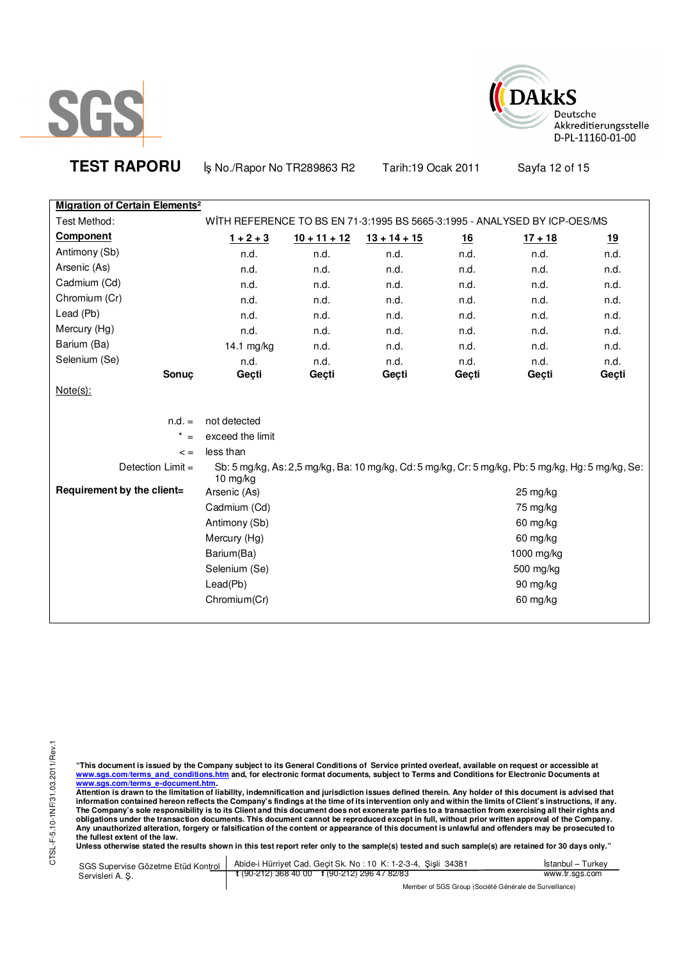



**TEST RAPORU b**<sub>s</sub> No./Rapor No TR289863 R2 Tarih:19 Ocak 2011 Sayfa 12 of 15

| <b>Migration of Certain Elements<sup>2</sup></b> |                                                                           |                |                                                                                                   |       |            |           |
|--------------------------------------------------|---------------------------------------------------------------------------|----------------|---------------------------------------------------------------------------------------------------|-------|------------|-----------|
| Test Method:                                     | WITH REFERENCE TO BS EN 71-3:1995 BS 5665-3:1995 - ANALYSED BY ICP-OES/MS |                |                                                                                                   |       |            |           |
| Component                                        | $1 + 2 + 3$                                                               | $10 + 11 + 12$ | $13 + 14 + 15$                                                                                    | 16    | $17 + 18$  | <u>19</u> |
| Antimony (Sb)                                    | n.d.                                                                      | n.d.           | n.d.                                                                                              | n.d.  | n.d.       | n.d.      |
| Arsenic (As)                                     | n.d.                                                                      | n.d.           | n.d.                                                                                              | n.d.  | n.d.       | n.d.      |
| Cadmium (Cd)                                     | n.d.                                                                      | n.d.           | n.d.                                                                                              | n.d.  | n.d.       | n.d.      |
| Chromium (Cr)                                    | n.d.                                                                      | n.d.           | n.d.                                                                                              | n.d.  | n.d.       | n.d.      |
| Lead (Pb)                                        | n.d.                                                                      | n.d.           | n.d.                                                                                              | n.d.  | n.d.       | n.d.      |
| Mercury (Hg)                                     | n.d.                                                                      | n.d.           | n.d.                                                                                              | n.d.  | n.d.       | n.d.      |
| Barium (Ba)                                      | 14.1 mg/kg                                                                | n.d.           | n.d.                                                                                              | n.d.  | n.d.       | n.d.      |
| Selenium (Se)                                    | n.d.                                                                      | n.d.           | n.d.                                                                                              | n.d.  | n.d.       | n.d.      |
| Sonuç                                            | Geçti                                                                     | Geçti          | Geçti                                                                                             | Geçti | Geçti      | Geçti     |
| $Note(s)$ :                                      |                                                                           |                |                                                                                                   |       |            |           |
|                                                  |                                                                           |                |                                                                                                   |       |            |           |
| $n.d. =$                                         | not detected                                                              |                |                                                                                                   |       |            |           |
| $^\star$<br>$=$                                  | exceed the limit                                                          |                |                                                                                                   |       |            |           |
| $\leq$ =                                         | less than                                                                 |                |                                                                                                   |       |            |           |
| Detection $Limit =$                              |                                                                           |                | Sb: 5 mg/kg, As: 2,5 mg/kg, Ba: 10 mg/kg, Cd: 5 mg/kg, Cr: 5 mg/kg, Pb: 5 mg/kg, Hg: 5 mg/kg, Se: |       |            |           |
| Requirement by the client=                       | $10$ mg/kg                                                                |                |                                                                                                   |       |            |           |
|                                                  | Arsenic (As)                                                              |                |                                                                                                   |       | 25 mg/kg   |           |
|                                                  | Cadmium (Cd)                                                              |                |                                                                                                   |       | 75 mg/kg   |           |
|                                                  | Antimony (Sb)                                                             |                |                                                                                                   |       | 60 mg/kg   |           |
|                                                  | Mercury (Hg)                                                              |                |                                                                                                   |       | 60 mg/kg   |           |
|                                                  | Barium(Ba)                                                                |                |                                                                                                   |       | 1000 mg/kg |           |
|                                                  | Selenium (Se)                                                             |                |                                                                                                   |       | 500 mg/kg  |           |
|                                                  | Lead(Pb)                                                                  |                |                                                                                                   |       | 90 mg/kg   |           |
|                                                  | Chromium(Cr)                                                              |                |                                                                                                   |       | 60 mg/kg   |           |
|                                                  |                                                                           |                |                                                                                                   |       |            |           |

"This document is issued by the Company subject to its General Conditions of Service printed overleaf, available on request or accessible at<br>www.sgs.com/terms\_and\_conditions.htm\_and, for electronic format documents, subjec

<u>www.sgs.com/terms\_e-document.htm.</u><br>Attention is drawn to the limitation of liability, indemnification and jurisdiction issues defined therein. Any holder of this document is advised that<br>information contained hereon refle obligations under the transaction documents. This document cannot be reproduced except in full, without prior written approval of the Company.<br>Any unauthorized alteration, forgery or falsification of the content or appeara

**Unless otherwise stated the results shown in this test report refer only to the sample(s) tested and such sample(s) are retained for 30 days only."** 

| SGS Supervise Gözetme Etüd Kontrol<br>Servisleri A. S. | Abide-i Hürriyet Cad. Gecit Sk. No: 10 K: 1-2-3-4, Sisli 34381 | Istanbul – Turkev |
|--------------------------------------------------------|----------------------------------------------------------------|-------------------|
|                                                        | $\frac{1}{2}$ (90-212) 368 40 00 f (90-212) 296 47 82/83       | www.tr.sgs.com    |
|                                                        | Member of SGS Group (Société Générale de Surveillance)         |                   |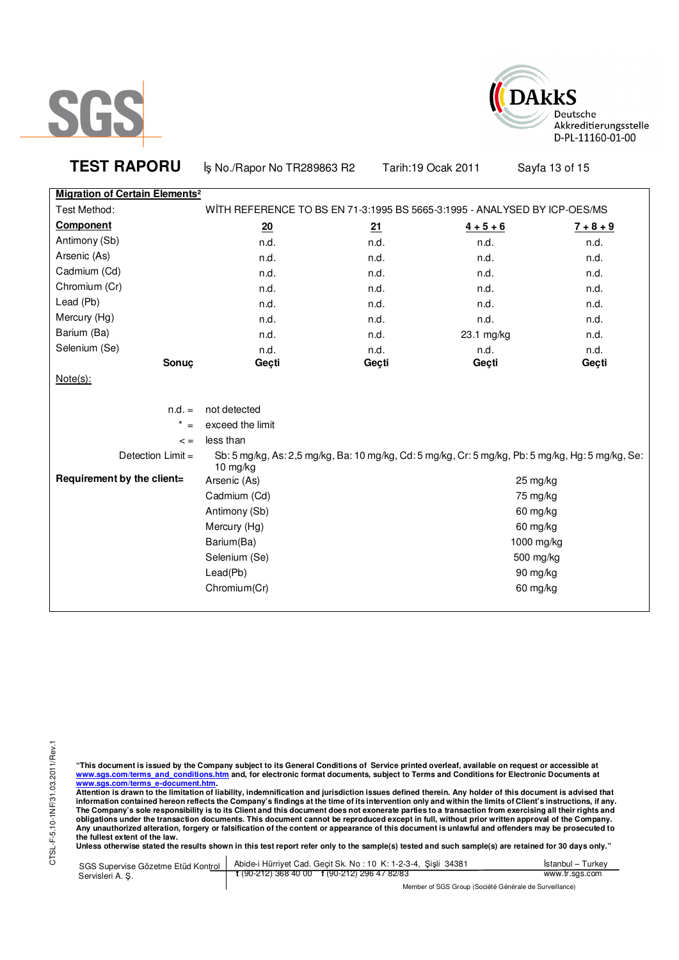



| <b>TEST RAPORU</b>                               | İş No./Rapor No TR289863 R2                                                                                     |       | Tarih: 19 Ocak 2011 | Sayfa 13 of 15 |
|--------------------------------------------------|-----------------------------------------------------------------------------------------------------------------|-------|---------------------|----------------|
| <b>Migration of Certain Elements<sup>2</sup></b> |                                                                                                                 |       |                     |                |
| Test Method:                                     | WITH REFERENCE TO BS EN 71-3:1995 BS 5665-3:1995 - ANALYSED BY ICP-OES/MS                                       |       |                     |                |
| <b>Component</b>                                 | 20                                                                                                              | 21    | $4 + 5 + 6$         | $7 + 8 + 9$    |
| Antimony (Sb)                                    | n.d.                                                                                                            | n.d.  | n.d.                | n.d.           |
| Arsenic (As)                                     | n.d.                                                                                                            | n.d.  | n.d.                | n.d.           |
| Cadmium (Cd)                                     | n.d.                                                                                                            | n.d.  | n.d.                | n.d.           |
| Chromium (Cr)                                    | n.d.                                                                                                            | n.d.  | n.d.                | n.d.           |
| Lead (Pb)                                        | n.d.                                                                                                            | n.d.  | n.d.                | n.d.           |
| Mercury (Hg)                                     | n.d.                                                                                                            | n.d.  | n.d.                | n.d.           |
| Barium (Ba)                                      | n.d.                                                                                                            | n.d.  | 23.1 mg/kg          | n.d.           |
| Selenium (Se)                                    | n.d.                                                                                                            | n.d.  | n.d.                | n.d.           |
| Sonuç                                            | Geçti                                                                                                           | Geçti | Geçti               | Geçti          |
| $Note(s)$ :                                      |                                                                                                                 |       |                     |                |
| $n.d. =$                                         | not detected                                                                                                    |       |                     |                |
| $* =$                                            | exceed the limit                                                                                                |       |                     |                |
| $\lt$ =                                          | less than                                                                                                       |       |                     |                |
| Detection Limit =                                | Sb: 5 mg/kg, As: 2,5 mg/kg, Ba: 10 mg/kg, Cd: 5 mg/kg, Cr: 5 mg/kg, Pb: 5 mg/kg, Hg: 5 mg/kg, Se:<br>10 $mg/kg$ |       |                     |                |
| Requirement by the client=                       | Arsenic (As)                                                                                                    |       |                     | 25 mg/kg       |
|                                                  | Cadmium (Cd)                                                                                                    |       |                     | 75 mg/kg       |
|                                                  | Antimony (Sb)                                                                                                   |       |                     | 60 mg/kg       |
|                                                  | Mercury (Hg)                                                                                                    |       |                     | 60 mg/kg       |
|                                                  | Barium(Ba)                                                                                                      |       |                     | 1000 mg/kg     |
|                                                  | Selenium (Se)                                                                                                   |       |                     | 500 mg/kg      |
|                                                  | Lead(Pb)                                                                                                        |       |                     | 90 mg/kg       |
|                                                  | Chromium(Cr)                                                                                                    |       |                     | 60 mg/kg       |
|                                                  |                                                                                                                 |       |                     |                |

"This document is issued by the Company subject to its General Conditions of Service printed overleaf, available on request or accessible at<br>www.sgs.com/terms\_and\_conditions.htm\_and, for electronic format documents, subjec

<u>www.sgs.com/terms\_e-document.htm.</u><br>Attention is drawn to the limitation of liability, indemnification and jurisdiction issues defined therein. Any holder of this document is advised that<br>information contained hereon refle obligations under the transaction documents. This document cannot be reproduced except in full, without prior written approval of the Company.<br>Any unauthorized alteration, forgery or falsification of the content or appeara

**Unless otherwise stated the results shown in this test report refer only to the sample(s) tested and such sample(s) are retained for 30 days only."** 

| SGS Supervise Gözetme Etüd Kontrol  <br>Servisleri A. Ş. | Abide-i Hürriyet Cad. Geçit Sk. No: 10 K: 1-2-3-4, Şişli 34381       | Istanbul – Turkev |  |
|----------------------------------------------------------|----------------------------------------------------------------------|-------------------|--|
|                                                          | $\frac{1}{2}$ (90-212) 368 40 00 $\frac{1}{2}$ (90-212) 296 47 82/83 | www.tr.sgs.com    |  |
|                                                          | Member of SGS Group (Société Générale de Surveillance)               |                   |  |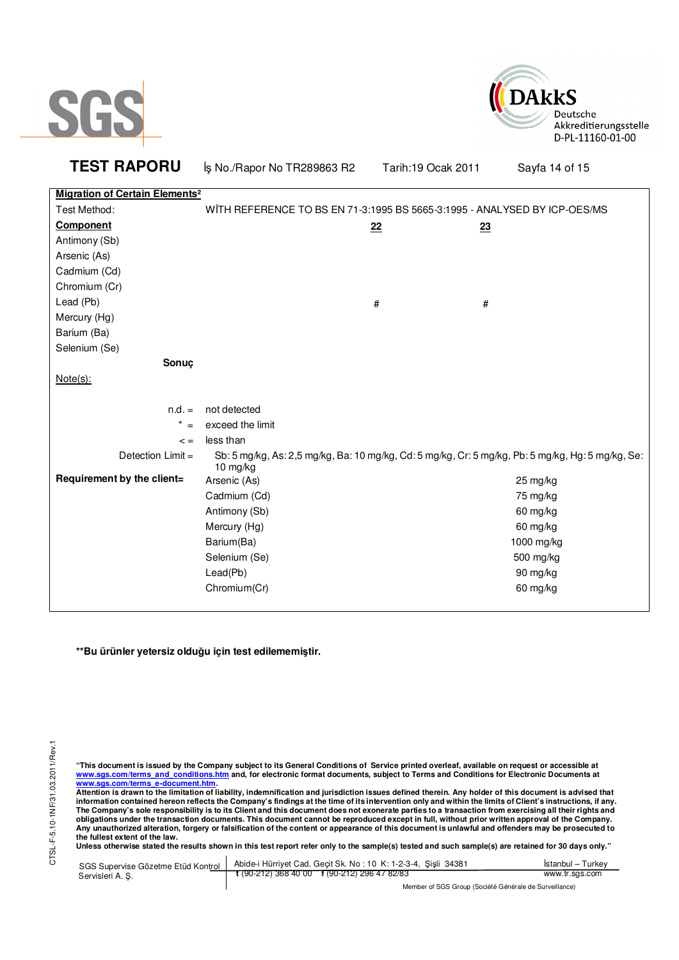



**TEST RAPORU b**<sub>s</sub> No./Rapor No TR289863 R2 Tarih:19 Ocak 2011 Sayfa 14 of 15

| <b>Migration of Certain Elements<sup>2</sup></b> |                                                                           |    |                                                                                                   |
|--------------------------------------------------|---------------------------------------------------------------------------|----|---------------------------------------------------------------------------------------------------|
| Test Method:                                     | WITH REFERENCE TO BS EN 71-3:1995 BS 5665-3:1995 - ANALYSED BY ICP-OES/MS |    |                                                                                                   |
| <b>Component</b>                                 |                                                                           | 22 | 23                                                                                                |
| Antimony (Sb)                                    |                                                                           |    |                                                                                                   |
| Arsenic (As)                                     |                                                                           |    |                                                                                                   |
| Cadmium (Cd)                                     |                                                                           |    |                                                                                                   |
| Chromium (Cr)                                    |                                                                           |    |                                                                                                   |
| Lead (Pb)                                        |                                                                           | #  | #                                                                                                 |
| Mercury (Hg)                                     |                                                                           |    |                                                                                                   |
| Barium (Ba)                                      |                                                                           |    |                                                                                                   |
| Selenium (Se)                                    |                                                                           |    |                                                                                                   |
| Sonuç                                            |                                                                           |    |                                                                                                   |
| $Note(s)$ :                                      |                                                                           |    |                                                                                                   |
|                                                  |                                                                           |    |                                                                                                   |
| $n.d. =$                                         | not detected                                                              |    |                                                                                                   |
| $\star$<br>$=$                                   | exceed the limit                                                          |    |                                                                                                   |
| $\leq$ $=$                                       | less than                                                                 |    |                                                                                                   |
| Detection Limit =                                | 10 mg/kg                                                                  |    | Sb: 5 mg/kg, As: 2,5 mg/kg, Ba: 10 mg/kg, Cd: 5 mg/kg, Cr: 5 mg/kg, Pb: 5 mg/kg, Hg: 5 mg/kg, Se: |
| Requirement by the client=                       | Arsenic (As)                                                              |    | 25 mg/kg                                                                                          |
|                                                  | Cadmium (Cd)                                                              |    | 75 mg/kg                                                                                          |
|                                                  | Antimony (Sb)                                                             |    | 60 mg/kg                                                                                          |
|                                                  | Mercury (Hg)                                                              |    | 60 mg/kg                                                                                          |
|                                                  | Barium(Ba)                                                                |    | 1000 mg/kg                                                                                        |
|                                                  | Selenium (Se)                                                             |    | 500 mg/kg                                                                                         |
|                                                  | Lead(Pb)                                                                  |    | 90 mg/kg                                                                                          |
|                                                  | Chromium(Cr)                                                              |    | 60 mg/kg                                                                                          |
|                                                  |                                                                           |    |                                                                                                   |

**\*\*Bu ürünler yetersiz olduğu için test edilememiştir.**

"This document is issued by the Company subject to its General Conditions of Service printed overleaf, available on request or accessible at<br>www.sgs.com/terms\_and\_conditions.htm\_and, for electronic format documents, subjec <mark>www.sgs.com/terms\_e-document.htm.</mark><br>Attention is drawn to the limitation of liability, indemnification and jurisdiction issues defined therein. Any holder of this document is advised that

information contained hereon reflects the Company's findings at the time of its intervention only and within the limits of Client's instructions, if any.<br>The Company's sole responsibility is to its Client and this document **obligations under the transaction documents. This document cannot be reproduced except in full, without prior written approval of the Company. Any unauthorized alteration, forgery or falsification of the content or appearance of this document is unlawful and offenders may be prosecuted to the fullest extent of the law.** 

Unless otherwise stated the results shown in this test report refer only to the sample(s) tested and such sample(s) are retained for 30 days only."

| SGS Supervise Gözetme Etüd Kontrol | Abide-i Hürrivet Cad. Geçit Sk. No: 10 K: 1-2-3-4, Şişli 34381       | İstanbul - Turkev |
|------------------------------------|----------------------------------------------------------------------|-------------------|
| Servisleri A. S.                   | $\frac{1}{2}$ (90-212) 368 40 00 $\frac{1}{2}$ (90-212) 296 47 82/83 | www.tr.sgs.com    |
|                                    | Member of SGS Group (Société Générale de Surveillance)               |                   |